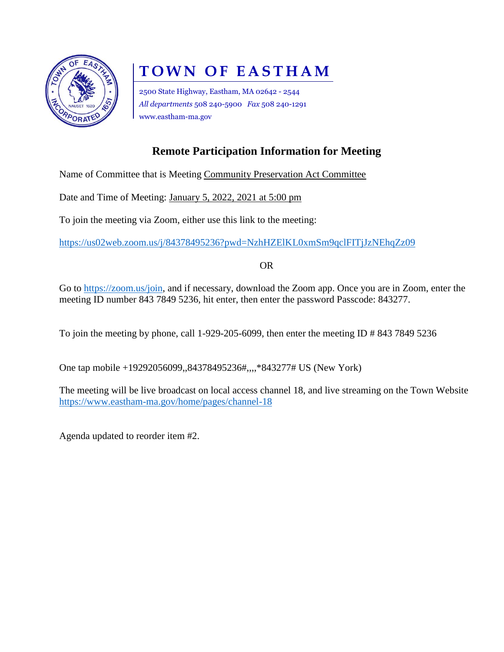

## **TOWN OF EASTHAM**

2500 State Highway, Eastham, MA 02642 - 2544 *All departments* 508 240-5900 *Fax* 508 240-1291 www.eastham-ma.gov

## **Remote Participation Information for Meeting**

Name of Committee that is Meeting Community Preservation Act Committee

Date and Time of Meeting: January 5, 2022, 2021 at 5:00 pm

To join the meeting via Zoom, either use this link to the meeting:

<https://us02web.zoom.us/j/84378495236?pwd=NzhHZElKL0xmSm9qclFITjJzNEhqZz09>

OR

Go to [https://zoom.us/join,](https://zoom.us/join) and if necessary, download the Zoom app. Once you are in Zoom, enter the meeting ID number 843 7849 5236, hit enter, then enter the password Passcode: 843277.

To join the meeting by phone, call 1-929-205-6099, then enter the meeting ID # 843 7849 5236

One tap mobile +19292056099,,84378495236#,,,,\*843277# US (New York)

The meeting will be live broadcast on local access channel 18, and live streaming on the Town Website <https://www.eastham-ma.gov/home/pages/channel-18>

Agenda updated to reorder item #2.